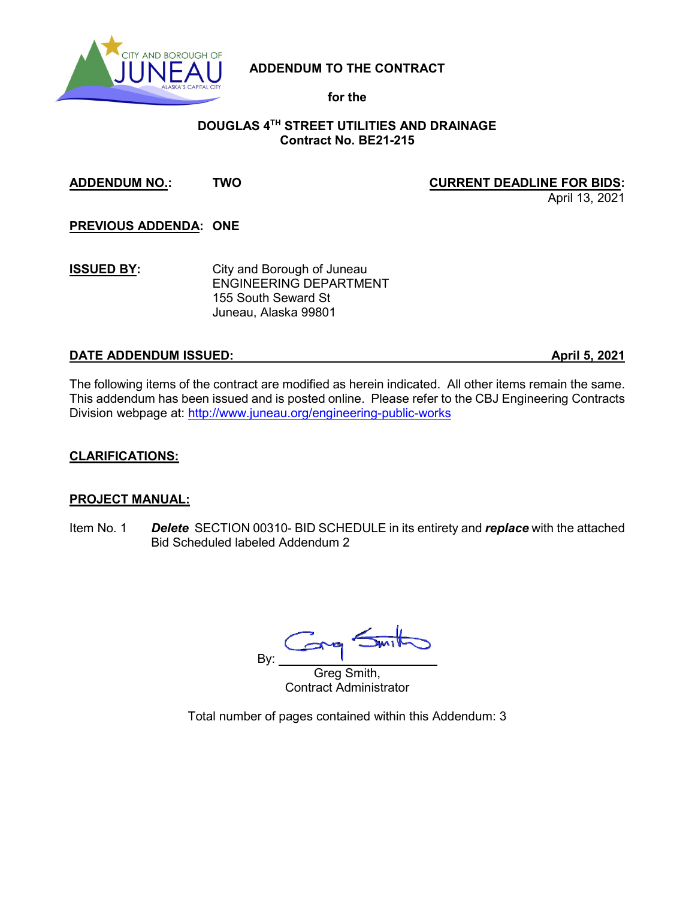

**ADDENDUM TO THE CONTRACT**

**for the**

### **DOUGLAS 4TH STREET UTILITIES AND DRAINAGE Contract No. BE21-215**

### **ADDENDUM NO.: TWO CURRENT DEADLINE FOR BIDS:**

April 13, 2021

**PREVIOUS ADDENDA: ONE**

**ISSUED BY:** City and Borough of Juneau ENGINEERING DEPARTMENT 155 South Seward St Juneau, Alaska 99801

# **DATE ADDENDUM ISSUED: April 5, 2021**

The following items of the contract are modified as herein indicated. All other items remain the same. This addendum has been issued and is posted online. Please refer to the CBJ Engineering Contracts Division webpage at:<http://www.juneau.org/engineering-public-works>

## **CLARIFICATIONS:**

#### **PROJECT MANUAL:**

Item No. 1 *Delete* SECTION 00310- BID SCHEDULE in its entirety and *replace* with the attached Bid Scheduled labeled Addendum 2

By:

Greg Smith, Contract Administrator

Total number of pages contained within this Addendum: 3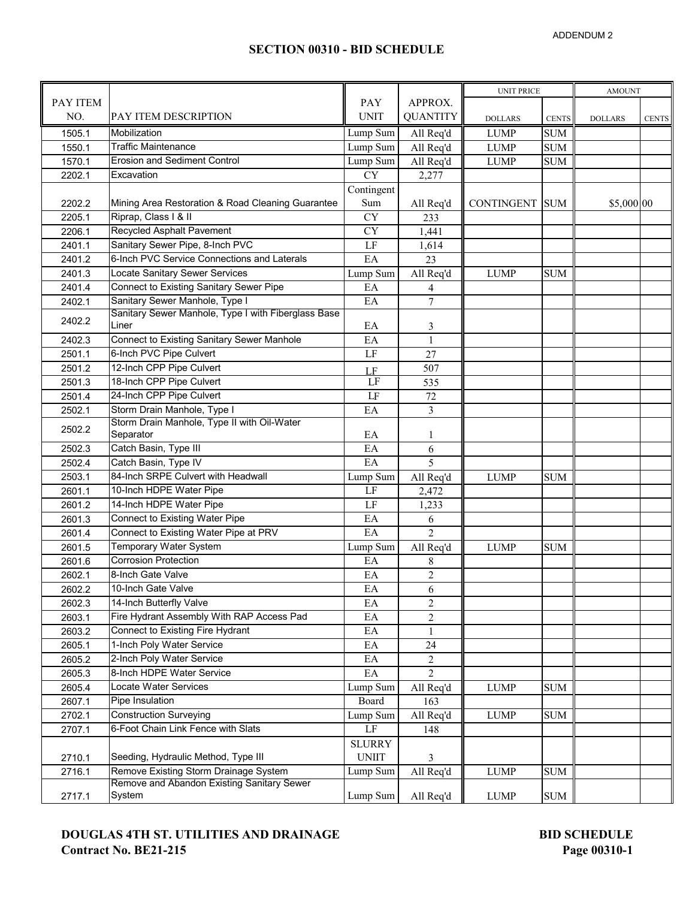### **SECTION 00310 - BID SCHEDULE**

|          |                                                              |                        |                          | <b>UNIT PRICE</b> |              | <b>AMOUNT</b>  |              |
|----------|--------------------------------------------------------------|------------------------|--------------------------|-------------------|--------------|----------------|--------------|
| PAY ITEM |                                                              | PAY                    | APPROX.                  |                   |              |                |              |
| NO.      | PAY ITEM DESCRIPTION                                         | <b>UNIT</b>            | <b>QUANTITY</b>          | <b>DOLLARS</b>    | <b>CENTS</b> | <b>DOLLARS</b> | <b>CENTS</b> |
| 1505.1   | Mobilization                                                 | Lump Sum               | All Req'd                | <b>LUMP</b>       | <b>SUM</b>   |                |              |
| 1550.1   | <b>Traffic Maintenance</b>                                   | Lump Sum               | All Req'd                | <b>LUMP</b>       | <b>SUM</b>   |                |              |
| 1570.1   | <b>Erosion and Sediment Control</b>                          | Lump Sum               | All Req'd                | <b>LUMP</b>       | <b>SUM</b>   |                |              |
| 2202.1   | Excavation                                                   | $\overline{\text{CY}}$ | 2,277                    |                   |              |                |              |
|          |                                                              | Contingent             |                          |                   |              |                |              |
| 2202.2   | Mining Area Restoration & Road Cleaning Guarantee            | Sum                    | All Req'd                | CONTINGENT SUM    |              | \$5,000 00     |              |
| 2205.1   | Riprap, Class   & II                                         | <b>CY</b>              | 233                      |                   |              |                |              |
| 2206.1   | Recycled Asphalt Pavement                                    | $\overline{\rm CY}$    | 1,441                    |                   |              |                |              |
| 2401.1   | Sanitary Sewer Pipe, 8-Inch PVC                              | LF                     | 1,614                    |                   |              |                |              |
| 2401.2   | 6-Inch PVC Service Connections and Laterals                  | EA                     | 23                       |                   |              |                |              |
| 2401.3   | Locate Sanitary Sewer Services                               | Lump Sum               | All Req'd                | <b>LUMP</b>       | <b>SUM</b>   |                |              |
| 2401.4   | Connect to Existing Sanitary Sewer Pipe                      | EA                     | 4                        |                   |              |                |              |
| 2402.1   | Sanitary Sewer Manhole, Type I                               | EA                     | $\overline{7}$           |                   |              |                |              |
| 2402.2   | Sanitary Sewer Manhole, Type I with Fiberglass Base<br>Liner | EA                     |                          |                   |              |                |              |
| 2402.3   | <b>Connect to Existing Sanitary Sewer Manhole</b>            | EA                     | 3<br>$\mathbf{1}$        |                   |              |                |              |
| 2501.1   | 6-Inch PVC Pipe Culvert                                      | LF                     | 27                       |                   |              |                |              |
| 2501.2   | 12-Inch CPP Pipe Culvert                                     |                        | 507                      |                   |              |                |              |
| 2501.3   | 18-Inch CPP Pipe Culvert                                     | LF<br>LF               | 535                      |                   |              |                |              |
| 2501.4   | 24-Inch CPP Pipe Culvert                                     | LF                     | 72                       |                   |              |                |              |
| 2502.1   | Storm Drain Manhole, Type I                                  | EA                     | 3                        |                   |              |                |              |
|          | Storm Drain Manhole, Type II with Oil-Water                  |                        |                          |                   |              |                |              |
| 2502.2   | Separator                                                    | EA                     | 1                        |                   |              |                |              |
| 2502.3   | Catch Basin, Type III                                        | EA                     | 6                        |                   |              |                |              |
| 2502.4   | Catch Basin, Type IV                                         | EA                     | $\overline{5}$           |                   |              |                |              |
| 2503.1   | 84-Inch SRPE Culvert with Headwall                           | Lump Sum               | All Req'd                | <b>LUMP</b>       | <b>SUM</b>   |                |              |
| 2601.1   | 10-Inch HDPE Water Pipe                                      | LF                     | 2,472                    |                   |              |                |              |
| 2601.2   | 14-Inch HDPE Water Pipe                                      | LF                     | 1,233                    |                   |              |                |              |
| 2601.3   | Connect to Existing Water Pipe                               | EA                     | 6                        |                   |              |                |              |
| 2601.4   | Connect to Existing Water Pipe at PRV                        | EA                     | $\overline{\mathcal{L}}$ |                   |              |                |              |
| 2601.5   | <b>Temporary Water System</b>                                | Lump Sum               | All Req'd                | <b>LUMP</b>       | <b>SUM</b>   |                |              |
| 2601.6   | <b>Corrosion Protection</b>                                  | EA                     | 8                        |                   |              |                |              |
| 2602.1   | 8-Inch Gate Valve                                            | EA                     | $\sqrt{2}$               |                   |              |                |              |
| 2602.2   | 10-Inch Gate Valve                                           | EA                     | $\boldsymbol{6}$         |                   |              |                |              |
| 2602.3   | 14-Inch Butterfly Valve                                      | EA                     | $\sqrt{2}$               |                   |              |                |              |
| 2603.1   | Fire Hydrant Assembly With RAP Access Pad                    | EA                     | $\overline{c}$           |                   |              |                |              |
| 2603.2   | Connect to Existing Fire Hydrant                             | EA                     | $\mathbf{1}$             |                   |              |                |              |
| 2605.1   | 1-Inch Poly Water Service                                    | $\mathbf{E}\mathbf{A}$ | 24                       |                   |              |                |              |
| 2605.2   | 2-Inch Poly Water Service                                    | EA                     | 2                        |                   |              |                |              |
| 2605.3   | 8-Inch HDPE Water Service                                    | EA                     | $\overline{2}$           |                   |              |                |              |
| 2605.4   | Locate Water Services                                        | Lump Sum               | All Req'd                | <b>LUMP</b>       | <b>SUM</b>   |                |              |
| 2607.1   | Pipe Insulation                                              | Board                  | 163                      |                   |              |                |              |
| 2702.1   | <b>Construction Surveying</b>                                | Lump Sum               | All Req'd                | <b>LUMP</b>       | <b>SUM</b>   |                |              |
| 2707.1   | 6-Foot Chain Link Fence with Slats                           | $\rm LF$               | 148                      |                   |              |                |              |
|          |                                                              | <b>SLURRY</b>          |                          |                   |              |                |              |
| 2710.1   | Seeding, Hydraulic Method, Type III                          | <b>UNIIT</b>           | 3                        |                   |              |                |              |
| 2716.1   | Remove Existing Storm Drainage System                        | Lump Sum               | All Req'd                | <b>LUMP</b>       | <b>SUM</b>   |                |              |
| 2717.1   | Remove and Abandon Existing Sanitary Sewer<br>System         | Lump Sum               | All Req'd                | <b>LUMP</b>       | $\rm SUM$    |                |              |
|          |                                                              |                        |                          |                   |              |                |              |